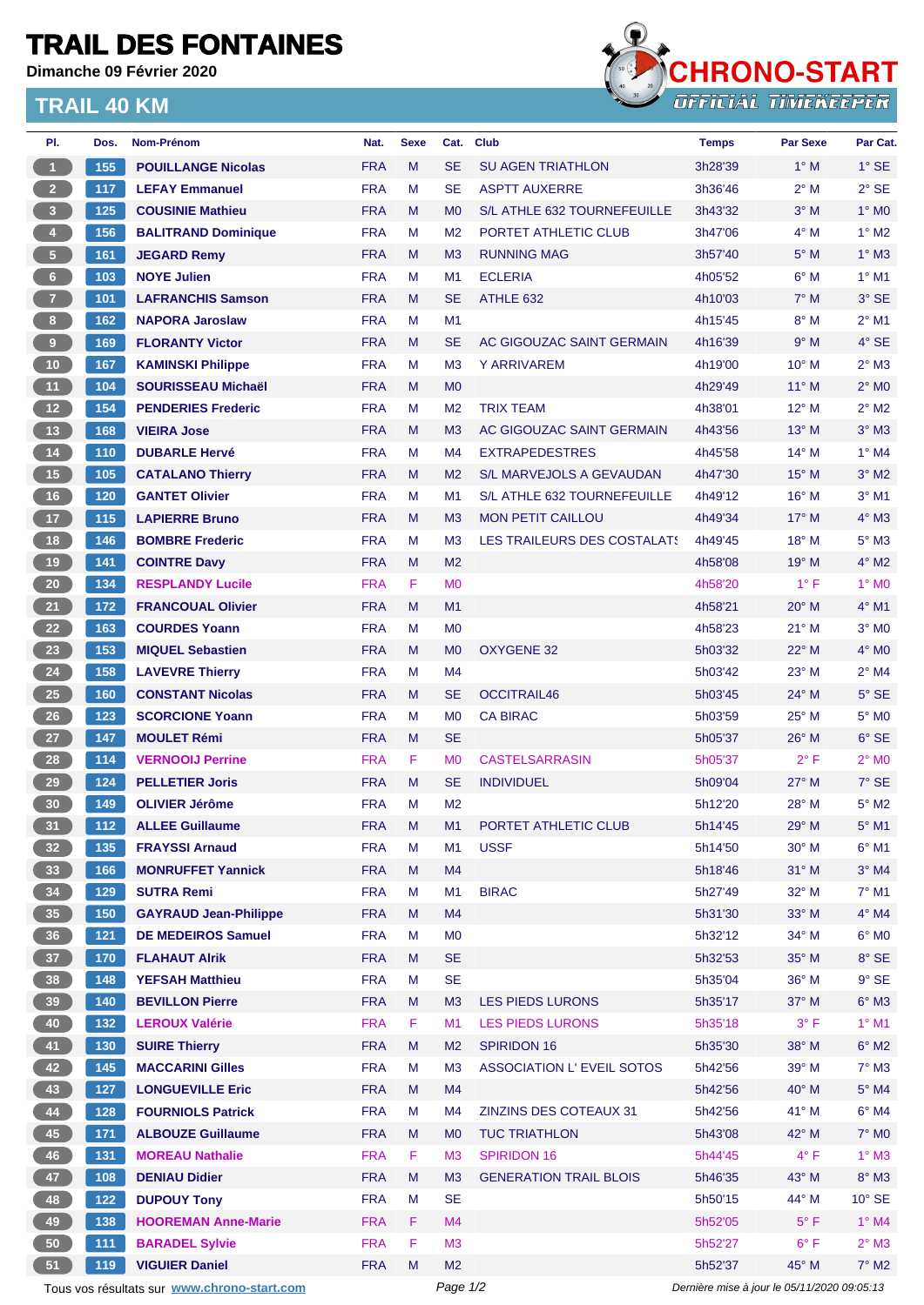## **TRAIL DES FONTAINES**

**Dimanche 09 Février 2020**

## **TRAIL 40 KM**



| PI.                                         | Dos.  | <b>Nom-Prénom</b>            | Nat.       | <b>Sexe</b> | Cat.           | <b>Club</b>                   | <b>Temps</b>                                | <b>Par Sexe</b> | Par Cat.        |
|---------------------------------------------|-------|------------------------------|------------|-------------|----------------|-------------------------------|---------------------------------------------|-----------------|-----------------|
| $\blacktriangleleft$                        | 155   | <b>POUILLANGE Nicolas</b>    | <b>FRA</b> | M           | <b>SE</b>      | <b>SU AGEN TRIATHLON</b>      | 3h28'39                                     | $1^\circ$ M     | $1^\circ$ SE    |
| $\overline{2}$                              | 117   | <b>LEFAY Emmanuel</b>        | <b>FRA</b> | М           | <b>SE</b>      | <b>ASPTT AUXERRE</b>          | 3h36'46                                     | $2^{\circ}$ M   | $2°$ SE         |
| $\overline{\mathbf{3}}$                     | 125   | <b>COUSINIE Mathieu</b>      | <b>FRA</b> | M           | M <sub>0</sub> | S/L ATHLE 632 TOURNEFEUILLE   | 3h43'32                                     | $3°$ M          | $1^\circ$ MO    |
| $\bullet$                                   | 156   | <b>BALITRAND Dominique</b>   | <b>FRA</b> | М           | M <sub>2</sub> | PORTET ATHLETIC CLUB          | 3h47'06                                     | $4^\circ$ M     | $1^\circ$ M2    |
| ${\bf 5}$                                   | 161   | <b>JEGARD Remy</b>           | <b>FRA</b> | M           | M <sub>3</sub> | <b>RUNNING MAG</b>            | 3h57'40                                     | $5^\circ$ M     | $1^\circ$ M3    |
| $6\phantom{.}6$                             | 103   | <b>NOYE Julien</b>           | <b>FRA</b> | M           | M <sub>1</sub> | <b>ECLERIA</b>                | 4h05'52                                     | $6^\circ$ M     | $1°$ M1         |
| $\overline{7}$                              | 101   | <b>LAFRANCHIS Samson</b>     | <b>FRA</b> | M           | <b>SE</b>      | ATHLE 632                     | 4h10'03                                     | $7^\circ$ M     | $3°$ SE         |
| 8 <sub>1</sub>                              | 162   | <b>NAPORA Jaroslaw</b>       | <b>FRA</b> | M           | M1             |                               | 4h15'45                                     | $8^\circ$ M     | $2^{\circ}$ M1  |
| 9                                           | 169   | <b>FLORANTY Victor</b>       | <b>FRA</b> | M           | <b>SE</b>      | AC GIGOUZAC SAINT GERMAIN     | 4h16'39                                     | 9° M            | $4°$ SE         |
| 10                                          | 167   | <b>KAMINSKI Philippe</b>     | <b>FRA</b> | М           | M <sub>3</sub> | <b>Y ARRIVAREM</b>            | 4h19'00                                     | 10° M           | $2^{\circ}$ M3  |
| 11                                          | 104   | <b>SOURISSEAU Michaël</b>    | <b>FRA</b> | M           | M <sub>0</sub> |                               | 4h29'49                                     | $11^{\circ}$ M  | $2^{\circ}$ MO  |
| 12                                          | 154   | <b>PENDERIES Frederic</b>    | <b>FRA</b> | M           | M <sub>2</sub> | <b>TRIX TEAM</b>              | 4h38'01                                     | $12^{\circ}$ M  | $2^{\circ}$ M2  |
| 13                                          | 168   | <b>VIEIRA Jose</b>           | <b>FRA</b> | M           | M <sub>3</sub> | AC GIGOUZAC SAINT GERMAIN     | 4h43'56                                     | $13^\circ$ M    | $3°$ M $3$      |
| $14$                                        | 110   | <b>DUBARLE Hervé</b>         | <b>FRA</b> | M           | M4             | <b>EXTRAPEDESTRES</b>         | 4h45'58                                     | $14^{\circ}$ M  | $1^\circ$ M4    |
| 15                                          | 105   | <b>CATALANO Thierry</b>      | <b>FRA</b> | M           | M <sub>2</sub> | S/L MARVEJOLS A GEVAUDAN      | 4h47'30                                     | $15^{\circ}$ M  | $3^\circ$ M2    |
| 16                                          | 120   | <b>GANTET Olivier</b>        | <b>FRA</b> | M           | M1             | S/L ATHLE 632 TOURNEFEUILLE   | 4h49'12                                     | 16° M           | $3°$ M1         |
| $17$                                        | 115   | <b>LAPIERRE Bruno</b>        | <b>FRA</b> | M           | M <sub>3</sub> | <b>MON PETIT CAILLOU</b>      | 4h49'34                                     | $17^{\circ}$ M  | $4^\circ$ M3    |
| 18                                          | 146   | <b>BOMBRE Frederic</b>       | <b>FRA</b> | M           | M <sub>3</sub> | LES TRAILEURS DES COSTALATS   | 4h49'45                                     | 18° M           | $5^\circ$ M3    |
| $19$                                        | 141   | <b>COINTRE Davy</b>          | <b>FRA</b> | M           | M <sub>2</sub> |                               | 4h58'08                                     | $19°$ M         | $4^\circ$ M2    |
| 20                                          | 134   | <b>RESPLANDY Lucile</b>      | <b>FRA</b> | F.          | M <sub>0</sub> |                               | 4h58'20                                     | $1^{\circ}$ F   | $1^\circ$ MO    |
| 21                                          | 172   | <b>FRANCOUAL Olivier</b>     | <b>FRA</b> | M           | M <sub>1</sub> |                               | 4h58'21                                     | $20^\circ$ M    | $4^{\circ}$ M1  |
| 22                                          | 163   | <b>COURDES Yoann</b>         | <b>FRA</b> | M           | M <sub>0</sub> |                               | 4h58'23                                     | $21°$ M         | $3°$ MO         |
| 23                                          | 153   | <b>MIQUEL Sebastien</b>      | <b>FRA</b> | M           | M <sub>0</sub> | <b>OXYGENE 32</b>             | 5h03'32                                     | $22^{\circ}$ M  | $4^\circ$ MO    |
| ${\bf 24}$                                  | 158   | <b>LAVEVRE Thierry</b>       | <b>FRA</b> | М           | M4             |                               | 5h03'42                                     | $23^\circ$ M    | $2^{\circ}$ M4  |
| <b>25</b>                                   | 160   | <b>CONSTANT Nicolas</b>      | <b>FRA</b> | M           | <b>SE</b>      | <b>OCCITRAIL46</b>            | 5h03'45                                     | 24° M           | $5^\circ$ SE    |
| 26                                          | 123   | <b>SCORCIONE Yoann</b>       | <b>FRA</b> | М           | M <sub>0</sub> | <b>CA BIRAC</b>               | 5h03'59                                     | $25^{\circ}$ M  | $5^\circ$ MO    |
| 27                                          | 147   | <b>MOULET Rémi</b>           | <b>FRA</b> | M           | <b>SE</b>      |                               | 5h05'37                                     | 26° M           | $6°$ SE         |
| 28                                          | 114   | <b>VERNOOIJ Perrine</b>      | <b>FRA</b> | F           | M <sub>0</sub> | <b>CASTELSARRASIN</b>         | 5h05'37                                     | $2^{\circ}$ F   | $2^{\circ}$ MO  |
| 29                                          | 124   | <b>PELLETIER Joris</b>       | <b>FRA</b> |             | <b>SE</b>      |                               |                                             | $27^\circ$ M    | $7°$ SE         |
|                                             |       |                              | <b>FRA</b> | M           |                | <b>INDIVIDUEL</b>             | 5h09'04                                     | 28° M           | $5^\circ$ M2    |
| 30                                          | 149   | <b>OLIVIER Jérôme</b>        |            | М           | M <sub>2</sub> |                               | 5h12'20                                     |                 |                 |
| 31                                          | 112   | <b>ALLEE Guillaume</b>       | <b>FRA</b> | M           | M1             | PORTET ATHLETIC CLUB          | 5h14'45                                     | $29°$ M         | $5^{\circ}$ M1  |
| 32                                          | 135   | <b>FRAYSSI Arnaud</b>        | <b>FRA</b> | Μ           | M1             | <b>USSF</b>                   | 5h14'50                                     | 30° M           | $6^{\circ}$ M1  |
| 33                                          | 166   | <b>MONRUFFET Yannick</b>     | <b>FRA</b> | M           | M4             |                               | 5h18'46                                     | 31° M           | $3°$ M4         |
| 34                                          | 129   | <b>SUTRA Remi</b>            | <b>FRA</b> | M           | M <sub>1</sub> | <b>BIRAC</b>                  | 5h27'49                                     | 32° M           | $7^\circ$ M1    |
| 35                                          | 150   | <b>GAYRAUD Jean-Philippe</b> | <b>FRA</b> | M           | M4             |                               | 5h31'30                                     | 33° M           | $4^\circ$ M4    |
| 36                                          | $121$ | <b>DE MEDEIROS Samuel</b>    | <b>FRA</b> | M           | M <sub>0</sub> |                               | 5h32'12                                     | 34° M           | $6^{\circ}$ MO  |
| 37 <sup>°</sup>                             | 170   | <b>FLAHAUT AIrik</b>         | <b>FRA</b> | M           | <b>SE</b>      |                               | 5h32'53                                     | 35° M           | $8°$ SE         |
| 38                                          | 148   | <b>YEFSAH Matthieu</b>       | <b>FRA</b> | M           | <b>SE</b>      |                               | 5h35'04                                     | 36° M           | $9°$ SE         |
| 39                                          | 140   | <b>BEVILLON Pierre</b>       | <b>FRA</b> | M           | M3             | LES PIEDS LURONS              | 5h35'17                                     | 37° M           | $6^\circ$ M3    |
| 40                                          | 132   | <b>LEROUX Valérie</b>        | <b>FRA</b> | F           | M <sub>1</sub> | <b>LES PIEDS LURONS</b>       | 5h35'18                                     | $3^{\circ}$ F   | $1^\circ$ M1    |
| 41                                          | 130   | <b>SUIRE Thierry</b>         | <b>FRA</b> | M           | M <sub>2</sub> | <b>SPIRIDON 16</b>            | 5h35'30                                     | 38° M           | $6^\circ$ M2    |
| 42                                          | $145$ | <b>MACCARINI Gilles</b>      | <b>FRA</b> | M           | M <sub>3</sub> | ASSOCIATION L'EVEIL SOTOS     | 5h42'56                                     | 39° M           | $7^\circ$ M3    |
| 43                                          | 127   | <b>LONGUEVILLE Eric</b>      | <b>FRA</b> | M           | M4             |                               | 5h42'56                                     | 40° M           | $5^\circ$ M4    |
| 44                                          | 128   | <b>FOURNIOLS Patrick</b>     | <b>FRA</b> | M           | M4             | ZINZINS DES COTEAUX 31        | 5h42'56                                     | 41° M           | $6^\circ$ M4    |
| $\bf 45$                                    | 171   | <b>ALBOUZE Guillaume</b>     | <b>FRA</b> | M           | M <sub>0</sub> | <b>TUC TRIATHLON</b>          | 5h43'08                                     | 42° M           | $7^\circ$ MO    |
| 46                                          | 131   | <b>MOREAU Nathalie</b>       | <b>FRA</b> | F           | M <sub>3</sub> | <b>SPIRIDON 16</b>            | 5h44'45                                     | $4^{\circ}$ F   | $1^\circ$ M3    |
| 47                                          | 108   | <b>DENIAU Didier</b>         | <b>FRA</b> | ${\sf M}$   | M3             | <b>GENERATION TRAIL BLOIS</b> | 5h46'35                                     | 43° M           | $8^\circ$ M3    |
| 48                                          | $122$ | <b>DUPOUY Tony</b>           | <b>FRA</b> | M           | <b>SE</b>      |                               | 5h50'15                                     | 44° M           | $10^{\circ}$ SE |
| 49                                          | 138   | <b>HOOREMAN Anne-Marie</b>   | <b>FRA</b> | F           | M4             |                               | 5h52'05                                     | $5^{\circ}$ F   | $1^\circ$ M4    |
| 50                                          | $111$ | <b>BARADEL Sylvie</b>        | <b>FRA</b> | F           | M3             |                               | 5h52'27                                     | $6^{\circ}$ F   | $2^\circ$ M3    |
| 51                                          | 119   | <b>VIGUIER Daniel</b>        | <b>FRA</b> | M           | M <sub>2</sub> |                               | 5h52'37                                     | 45° M           | $7^\circ$ M2    |
| Tous vos résultats sur www.chrono-start.com |       |                              |            |             | Page 1/2       |                               | Dernière mise à jour le 05/11/2020 09:05:13 |                 |                 |